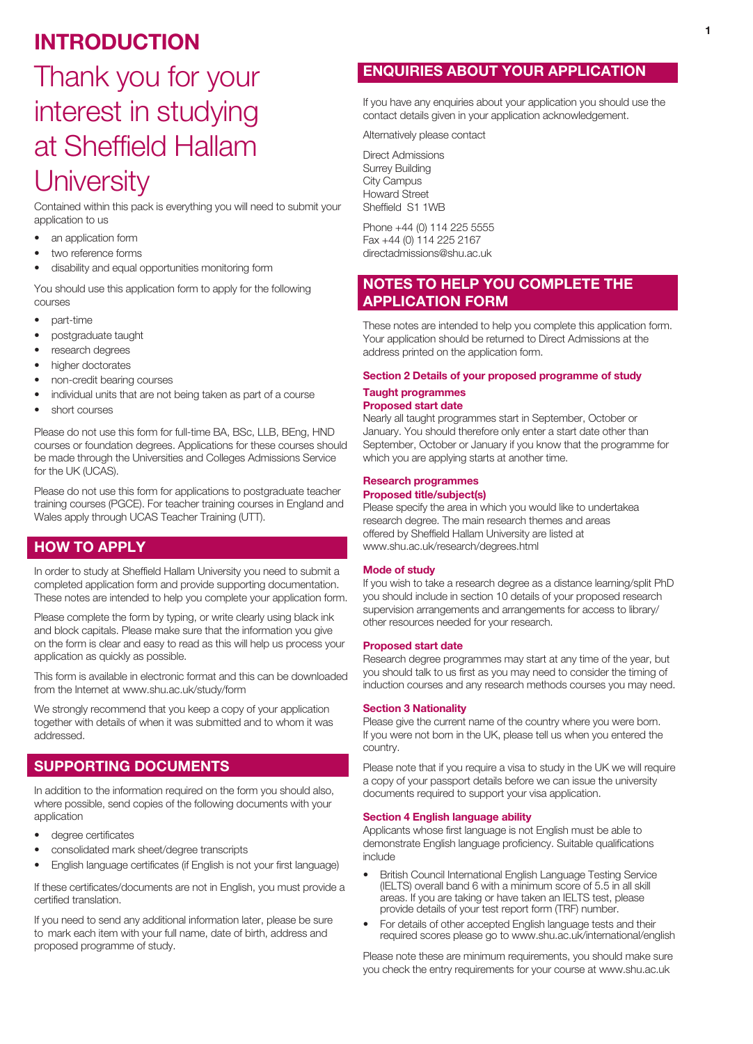## INTRODUCTION

# Thank you for your interest in studying at Sheffield Hallam **University**

Contained within this pack is everything you will need to submit your application to us

- an application form
- two reference forms
- disability and equal opportunities monitoring form

You should use this application form to apply for the following courses

- part-time
- postgraduate taught
- research degrees
- higher doctorates
- non-credit bearing courses
- individual units that are not being taken as part of a course
- short courses

Please do not use this form for full-time BA, BSc, LLB, BEng, HND courses or foundation degrees. Applications for these courses should be made through the Universities and Colleges Admissions Service for the UK (UCAS).

Please do not use this form for applications to postgraduate teacher training courses (PGCE). For teacher training courses in England and Wales apply through UCAS Teacher Training (UTT).

## HOW TO APPLY

In order to study at Sheffield Hallam University you need to submit a completed application form and provide supporting documentation. These notes are intended to help you complete your application form.

Please complete the form by typing, or write clearly using black ink and block capitals. Please make sure that the information you give on the form is clear and easy to read as this will help us process your application as quickly as possible.

This form is available in electronic format and this can be downloaded from the Internet at www.shu.ac.uk/study/form

We strongly recommend that you keep a copy of your application together with details of when it was submitted and to whom it was addressed.

## SUPPORTING DOCUMENTS

In addition to the information required on the form you should also, where possible, send copies of the following documents with your application

- degree certificates
- consolidated mark sheet/degree transcripts
- English language certificates (if English is not your first language)

If these certificates/documents are not in English, you must provide a certified translation.

If you need to send any additional information later, please be sure to mark each item with your full name, date of birth, address and proposed programme of study.

## ENQUIRIES ABOUT YOUR APPLICATION

If you have any enquiries about your application you should use the contact details given in your application acknowledgement.

Alternatively please contact

Direct Admissions Surrey Building City Campus Howard Street Sheffield S1 1WB

Phone +44 (0) 114 225 5555 Fax +44 (0) 114 225 2167 directadmissions@shu.ac.uk

## NOTES TO HELP YOU COMPLETE THE APPLICATION FORM

These notes are intended to help you complete this application form. Your application should be returned to Direct Admissions at the address printed on the application form.

### Section 2 Details of your proposed programme of study Taught programmes

### Proposed start date

Nearly all taught programmes start in September, October or January. You should therefore only enter a start date other than September, October or January if you know that the programme for which you are applying starts at another time.

#### Research programmes Proposed title/subject(s)

Please specify the area in which you would like to undertakea research degree. The main research themes and areas offered by Sheffield Hallam University are listed at www.shu.ac.uk/research/degrees.html

### Mode of study

If you wish to take a research degree as a distance learning/split PhD you should include in section 10 details of your proposed research supervision arrangements and arrangements for access to library/ other resources needed for your research.

### Proposed start date

Research degree programmes may start at any time of the year, but you should talk to us first as you may need to consider the timing of induction courses and any research methods courses you may need.

### Section 3 Nationality

Please give the current name of the country where you were born. If you were not born in the UK, please tell us when you entered the country.

Please note that if you require a visa to study in the UK we will require a copy of your passport details before we can issue the university documents required to support your visa application.

### Section 4 English language ability

Applicants whose first language is not English must be able to demonstrate English language proficiency. Suitable qualifications include

- British Council International English Language Testing Service (IELTS) overall band 6 with a minimum score of 5.5 in all skill areas. If you are taking or have taken an IELTS test, please provide details of your test report form (TRF) number.
- For details of other accepted English language tests and their required scores please go to www.shu.ac.uk/international/english

Please note these are minimum requirements, you should make sure you check the entry requirements for your course at www.shu.ac.uk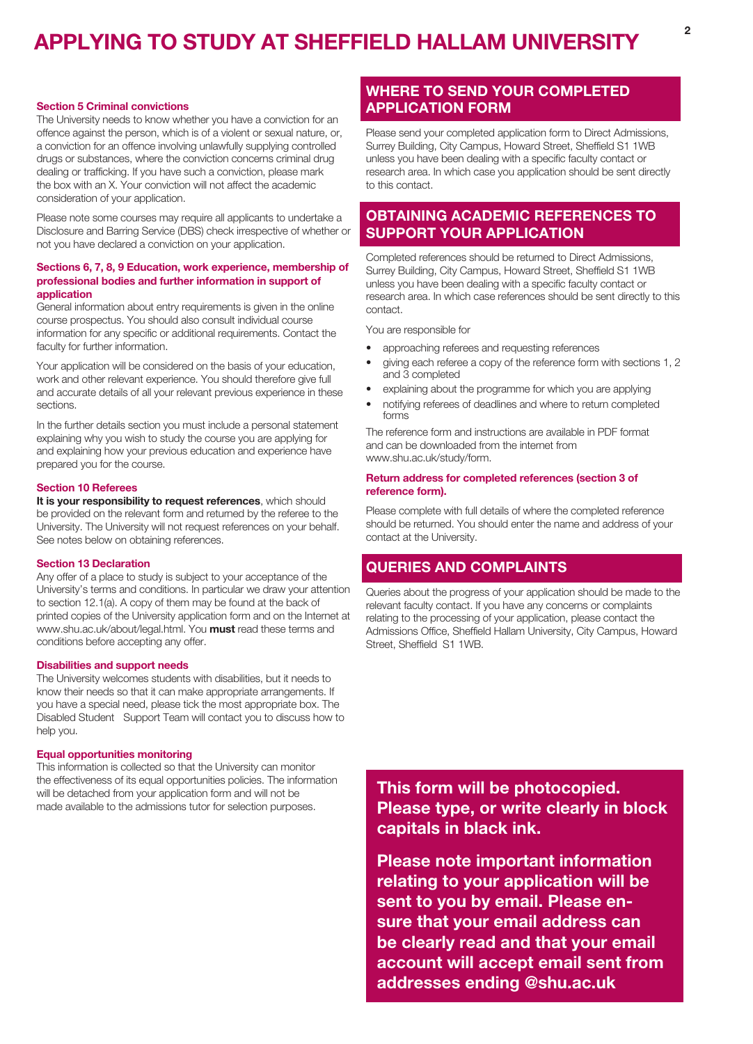#### Section 5 Criminal convictions

The University needs to know whether you have a conviction for an offence against the person, which is of a violent or sexual nature, or, a conviction for an offence involving unlawfully supplying controlled drugs or substances, where the conviction concerns criminal drug dealing or trafficking. If you have such a conviction, please mark the box with an X. Your conviction will not affect the academic consideration of your application.

Please note some courses may require all applicants to undertake a Disclosure and Barring Service (DBS) check irrespective of whether or not you have declared a conviction on your application.

### Sections 6, 7, 8, 9 Education, work experience, membership of professional bodies and further information in support of application

General information about entry requirements is given in the online course prospectus. You should also consult individual course information for any specific or additional requirements. Contact the faculty for further information.

Your application will be considered on the basis of your education, work and other relevant experience. You should therefore give full and accurate details of all your relevant previous experience in these sections.

In the further details section you must include a personal statement explaining why you wish to study the course you are applying for and explaining how your previous education and experience have prepared you for the course.

### Section 10 Referees

It is your responsibility to request references, which should be provided on the relevant form and returned by the referee to the University. The University will not request references on your behalf. See notes below on obtaining references.

### Section 13 Declaration

Any offer of a place to study is subject to your acceptance of the University's terms and conditions. In particular we draw your attention to section 12.1(a). A copy of them may be found at the back of printed copies of the University application form and on the Internet at www.shu.ac.uk/about/legal.html. You **must** read these terms and conditions before accepting any offer.

### Disabilities and support needs

The University welcomes students with disabilities, but it needs to know their needs so that it can make appropriate arrangements. If you have a special need, please tick the most appropriate box. The Disabled Student Support Team will contact you to discuss how to help you.

#### Equal opportunities monitoring

This information is collected so that the University can monitor the effectiveness of its equal opportunities policies. The information will be detached from your application form and will not be made available to the admissions tutor for selection purposes.

## WHERE TO SEND YOUR COMPLETED APPLICATION FORM

Please send your completed application form to Direct Admissions, Surrey Building, City Campus, Howard Street, Sheffield S1 1WB unless you have been dealing with a specific faculty contact or research area. In which case you application should be sent directly to this contact.

## OBTAINING ACADEMIC REFERENCES TO SUPPORT YOUR APPLICATION

Completed references should be returned to Direct Admissions, Surrey Building, City Campus, Howard Street, Sheffield S1 1WB unless you have been dealing with a specific faculty contact or research area. In which case references should be sent directly to this contact.

You are responsible for

- approaching referees and requesting references
- giving each referee a copy of the reference form with sections 1, 2 and 3 completed
- explaining about the programme for which you are applying
- notifying referees of deadlines and where to return completed forms

The reference form and instructions are available in PDF format and can be downloaded from the internet from www.shu.ac.uk/study/form.

### Return address for completed references (section 3 of reference form).

Please complete with full details of where the completed reference should be returned. You should enter the name and address of your contact at the University.

## QUERIES AND COMPLAINTS

Queries about the progress of your application should be made to the relevant faculty contact. If you have any concerns or complaints relating to the processing of your application, please contact the Admissions Office, Sheffield Hallam University, City Campus, Howard Street, Sheffield S1 1WB.

This form will be photocopied. Please type, or write clearly in block capitals in black ink.

Please note important information relating to your application will be sent to you by email. Please ensure that your email address can be clearly read and that your email account will accept email sent from addresses ending @shu.ac.uk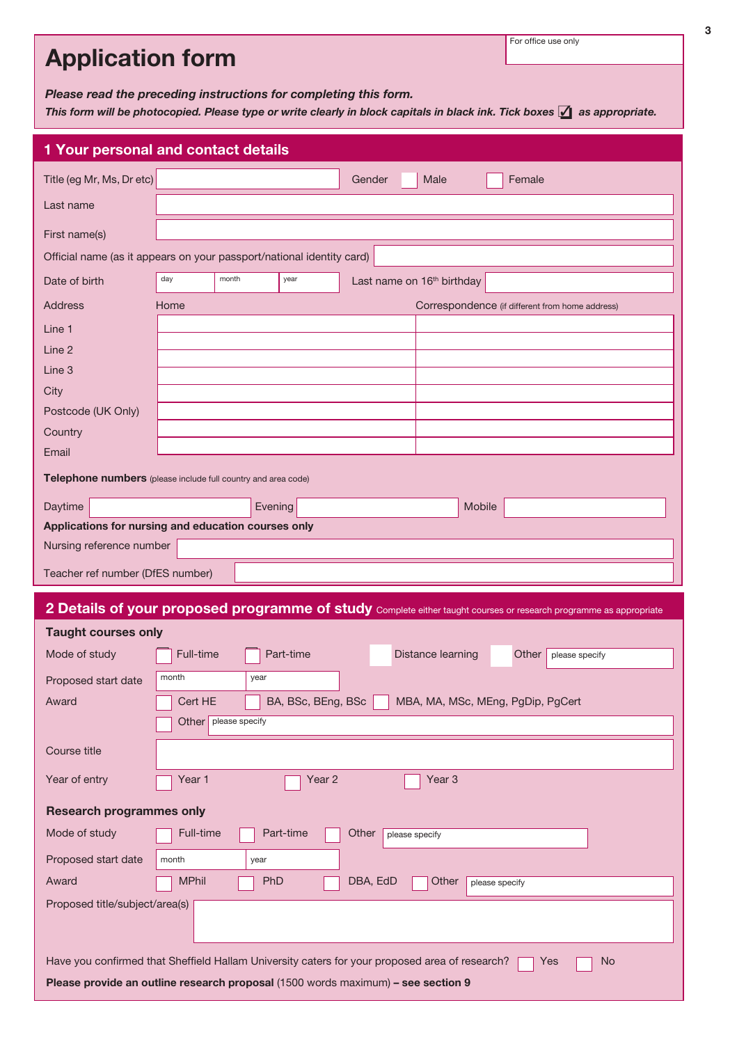| <b>Application form</b>                                                                                                                                                                                 | For office use only                                                                                                |  |  |  |  |  |  |
|---------------------------------------------------------------------------------------------------------------------------------------------------------------------------------------------------------|--------------------------------------------------------------------------------------------------------------------|--|--|--|--|--|--|
| Please read the preceding instructions for completing this form.<br>This form will be photocopied. Please type or write clearly in block capitals in black ink. Tick boxes $\checkmark$ as appropriate. |                                                                                                                    |  |  |  |  |  |  |
|                                                                                                                                                                                                         | 1 Your personal and contact details                                                                                |  |  |  |  |  |  |
| Title (eg Mr, Ms, Dr etc)                                                                                                                                                                               | Gender<br>Male<br>Female                                                                                           |  |  |  |  |  |  |
| Last name                                                                                                                                                                                               |                                                                                                                    |  |  |  |  |  |  |
| First name(s)                                                                                                                                                                                           |                                                                                                                    |  |  |  |  |  |  |
|                                                                                                                                                                                                         | Official name (as it appears on your passport/national identity card)                                              |  |  |  |  |  |  |
| Date of birth                                                                                                                                                                                           | day<br>month<br>year<br>Last name on 16 <sup>th</sup> birthday                                                     |  |  |  |  |  |  |
| <b>Address</b>                                                                                                                                                                                          | Home<br>Correspondence (if different from home address)                                                            |  |  |  |  |  |  |
| Line 1                                                                                                                                                                                                  |                                                                                                                    |  |  |  |  |  |  |
| Line 2<br>Line 3                                                                                                                                                                                        |                                                                                                                    |  |  |  |  |  |  |
| City                                                                                                                                                                                                    |                                                                                                                    |  |  |  |  |  |  |
| Postcode (UK Only)                                                                                                                                                                                      |                                                                                                                    |  |  |  |  |  |  |
| Country<br>Email                                                                                                                                                                                        |                                                                                                                    |  |  |  |  |  |  |
|                                                                                                                                                                                                         | Telephone numbers (please include full country and area code)                                                      |  |  |  |  |  |  |
| Daytime                                                                                                                                                                                                 | <b>Mobile</b><br>Evening                                                                                           |  |  |  |  |  |  |
|                                                                                                                                                                                                         | Applications for nursing and education courses only                                                                |  |  |  |  |  |  |
| Nursing reference number                                                                                                                                                                                |                                                                                                                    |  |  |  |  |  |  |
| Teacher ref number (DfES number)                                                                                                                                                                        |                                                                                                                    |  |  |  |  |  |  |
|                                                                                                                                                                                                         | 2 Details of your proposed programme of study Complete either taught courses or research programme as appropriate  |  |  |  |  |  |  |
| <b>Taught courses only</b>                                                                                                                                                                              |                                                                                                                    |  |  |  |  |  |  |
| Mode of study                                                                                                                                                                                           | Distance learning<br>Full-time<br>Part-time<br>Other<br>please specify                                             |  |  |  |  |  |  |
| Proposed start date                                                                                                                                                                                     | month<br>year                                                                                                      |  |  |  |  |  |  |
| Award                                                                                                                                                                                                   | Cert HE<br>BA, BSc, BEng, BSc<br>MBA, MA, MSc, MEng, PgDip, PgCert<br>Other   please specify                       |  |  |  |  |  |  |
| Course title                                                                                                                                                                                            |                                                                                                                    |  |  |  |  |  |  |
| Year of entry                                                                                                                                                                                           | Year <sub>3</sub><br>Year 1<br>Year 2                                                                              |  |  |  |  |  |  |
|                                                                                                                                                                                                         |                                                                                                                    |  |  |  |  |  |  |
| <b>Research programmes only</b><br>Mode of study                                                                                                                                                        | Full-time<br>Part-time<br>Other<br>please specify                                                                  |  |  |  |  |  |  |
| Proposed start date                                                                                                                                                                                     | month<br>year                                                                                                      |  |  |  |  |  |  |
| Award                                                                                                                                                                                                   | <b>MPhil</b><br>PhD<br>DBA, EdD<br>Other<br>please specify                                                         |  |  |  |  |  |  |
| Proposed title/subject/area(s)                                                                                                                                                                          |                                                                                                                    |  |  |  |  |  |  |
|                                                                                                                                                                                                         |                                                                                                                    |  |  |  |  |  |  |
|                                                                                                                                                                                                         | Have you confirmed that Sheffield Hallam University caters for your proposed area of research?<br><b>No</b><br>Yes |  |  |  |  |  |  |
| Please provide an outline research proposal (1500 words maximum) - see section 9                                                                                                                        |                                                                                                                    |  |  |  |  |  |  |

3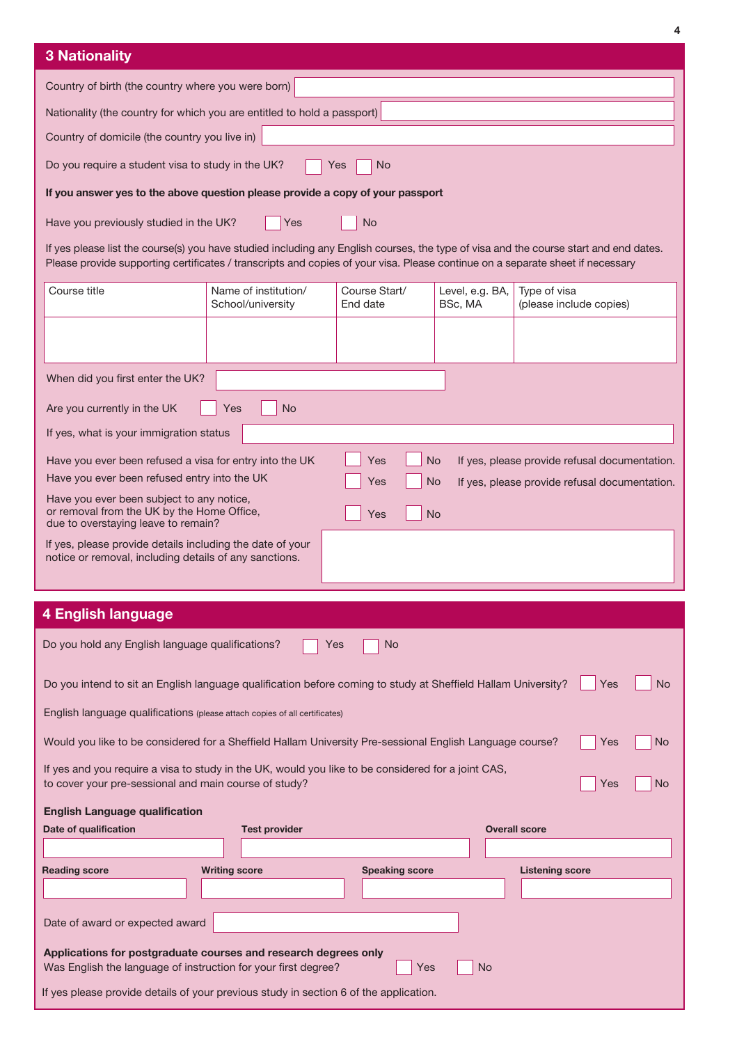|                                                                                                                                                                                                                                                                         |                                           |                           |                            |                                               | 4   |  |
|-------------------------------------------------------------------------------------------------------------------------------------------------------------------------------------------------------------------------------------------------------------------------|-------------------------------------------|---------------------------|----------------------------|-----------------------------------------------|-----|--|
| <b>3 Nationality</b>                                                                                                                                                                                                                                                    |                                           |                           |                            |                                               |     |  |
| Country of birth (the country where you were born)                                                                                                                                                                                                                      |                                           |                           |                            |                                               |     |  |
| Nationality (the country for which you are entitled to hold a passport)                                                                                                                                                                                                 |                                           |                           |                            |                                               |     |  |
| Country of domicile (the country you live in)                                                                                                                                                                                                                           |                                           |                           |                            |                                               |     |  |
| Do you require a student visa to study in the UK?                                                                                                                                                                                                                       |                                           | No<br>Yes                 |                            |                                               |     |  |
| If you answer yes to the above question please provide a copy of your passport                                                                                                                                                                                          |                                           |                           |                            |                                               |     |  |
| Have you previously studied in the UK?                                                                                                                                                                                                                                  | Yes                                       | <b>No</b>                 |                            |                                               |     |  |
| If yes please list the course(s) you have studied including any English courses, the type of visa and the course start and end dates.<br>Please provide supporting certificates / transcripts and copies of your visa. Please continue on a separate sheet if necessary |                                           |                           |                            |                                               |     |  |
| Course title                                                                                                                                                                                                                                                            | Name of institution/<br>School/university | Course Start/<br>End date | Level, e.g. BA,<br>BSc, MA | Type of visa<br>(please include copies)       |     |  |
|                                                                                                                                                                                                                                                                         |                                           |                           |                            |                                               |     |  |
| When did you first enter the UK?                                                                                                                                                                                                                                        |                                           |                           |                            |                                               |     |  |
| Are you currently in the UK                                                                                                                                                                                                                                             | <b>No</b><br>Yes                          |                           |                            |                                               |     |  |
| If yes, what is your immigration status                                                                                                                                                                                                                                 |                                           |                           |                            |                                               |     |  |
| Have you ever been refused a visa for entry into the UK                                                                                                                                                                                                                 |                                           | <b>No</b><br>Yes          |                            | If yes, please provide refusal documentation. |     |  |
| Have you ever been refused entry into the UK                                                                                                                                                                                                                            |                                           | <b>No</b><br>Yes          |                            | If yes, please provide refusal documentation. |     |  |
| Have you ever been subject to any notice,<br>or removal from the UK by the Home Office,<br>due to overstaying leave to remain?                                                                                                                                          |                                           | <b>No</b><br>Yes          |                            |                                               |     |  |
| If yes, please provide details including the date of your                                                                                                                                                                                                               |                                           |                           |                            |                                               |     |  |
| notice or removal, including details of any sanctions.                                                                                                                                                                                                                  |                                           |                           |                            |                                               |     |  |
|                                                                                                                                                                                                                                                                         |                                           |                           |                            |                                               |     |  |
| <b>4 English language</b>                                                                                                                                                                                                                                               |                                           |                           |                            |                                               |     |  |
| Do you hold any English language qualifications?                                                                                                                                                                                                                        | Yes                                       | <b>No</b>                 |                            |                                               |     |  |
| Do you intend to sit an English language qualification before coming to study at Sheffield Hallam University?<br>Yes<br>No.                                                                                                                                             |                                           |                           |                            |                                               |     |  |
| English language qualifications (please attach copies of all certificates)                                                                                                                                                                                              |                                           |                           |                            |                                               |     |  |
| Would you like to be considered for a Sheffield Hallam University Pre-sessional English Language course?                                                                                                                                                                |                                           |                           |                            | Yes                                           | No. |  |
| If yes and you require a visa to study in the UK, would you like to be considered for a joint CAS,<br>to cover your pre-sessional and main course of study?                                                                                                             |                                           |                           |                            | Yes                                           | No  |  |
|                                                                                                                                                                                                                                                                         |                                           |                           |                            |                                               |     |  |

| <b>English Language qualification</b>                                                                                             |                      |                       |                        |  |
|-----------------------------------------------------------------------------------------------------------------------------------|----------------------|-----------------------|------------------------|--|
| Date of qualification                                                                                                             | <b>Test provider</b> |                       | <b>Overall score</b>   |  |
|                                                                                                                                   |                      |                       |                        |  |
| <b>Reading score</b>                                                                                                              | <b>Writing score</b> | <b>Speaking score</b> | <b>Listening score</b> |  |
|                                                                                                                                   |                      |                       |                        |  |
|                                                                                                                                   |                      |                       |                        |  |
| Date of award or expected award                                                                                                   |                      |                       |                        |  |
| Applications for postgraduate courses and research degrees only<br>Was English the language of instruction for your first degree? |                      | Yes                   | <b>No</b>              |  |
| If yes please provide details of your previous study in section 6 of the application.                                             |                      |                       |                        |  |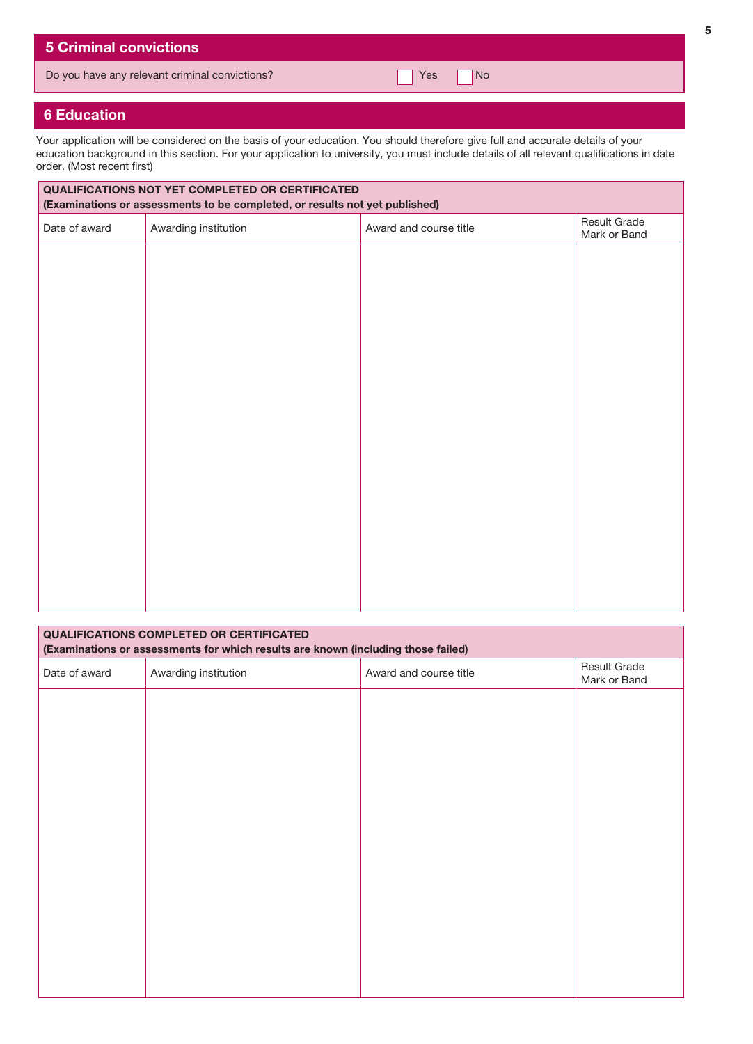|  |  | <b>5 Criminal convictions</b> |  |
|--|--|-------------------------------|--|
|  |  |                               |  |

Do you have any relevant criminal convictions? The Context of Table 1 Yes No

## 6 Education

Your application will be considered on the basis of your education. You should therefore give full and accurate details of your education background in this section. For your application to university, you must include details of all relevant qualifications in date order. (Most recent first)

| QUALIFICATIONS NOT YET COMPLETED OR CERTIFICATED<br>(Examinations or assessments to be completed, or results not yet published) |                      |                        |                              |  |  |  |  |  |
|---------------------------------------------------------------------------------------------------------------------------------|----------------------|------------------------|------------------------------|--|--|--|--|--|
| Date of award                                                                                                                   | Awarding institution | Award and course title | Result Grade<br>Mark or Band |  |  |  |  |  |
|                                                                                                                                 |                      |                        |                              |  |  |  |  |  |
|                                                                                                                                 |                      |                        |                              |  |  |  |  |  |
|                                                                                                                                 |                      |                        |                              |  |  |  |  |  |
|                                                                                                                                 |                      |                        |                              |  |  |  |  |  |
|                                                                                                                                 |                      |                        |                              |  |  |  |  |  |
|                                                                                                                                 |                      |                        |                              |  |  |  |  |  |
|                                                                                                                                 |                      |                        |                              |  |  |  |  |  |
|                                                                                                                                 |                      |                        |                              |  |  |  |  |  |
|                                                                                                                                 |                      |                        |                              |  |  |  |  |  |
|                                                                                                                                 |                      |                        |                              |  |  |  |  |  |
|                                                                                                                                 |                      |                        |                              |  |  |  |  |  |
|                                                                                                                                 |                      |                        |                              |  |  |  |  |  |

| <b>QUALIFICATIONS COMPLETED OR CERTIFICATED</b><br>(Examinations or assessments for which results are known (including those failed) |                      |                        |                              |  |  |  |  |  |
|--------------------------------------------------------------------------------------------------------------------------------------|----------------------|------------------------|------------------------------|--|--|--|--|--|
| Date of award                                                                                                                        | Awarding institution | Award and course title | Result Grade<br>Mark or Band |  |  |  |  |  |
|                                                                                                                                      |                      |                        |                              |  |  |  |  |  |
|                                                                                                                                      |                      |                        |                              |  |  |  |  |  |
|                                                                                                                                      |                      |                        |                              |  |  |  |  |  |
|                                                                                                                                      |                      |                        |                              |  |  |  |  |  |
|                                                                                                                                      |                      |                        |                              |  |  |  |  |  |
|                                                                                                                                      |                      |                        |                              |  |  |  |  |  |
|                                                                                                                                      |                      |                        |                              |  |  |  |  |  |
|                                                                                                                                      |                      |                        |                              |  |  |  |  |  |
|                                                                                                                                      |                      |                        |                              |  |  |  |  |  |
|                                                                                                                                      |                      |                        |                              |  |  |  |  |  |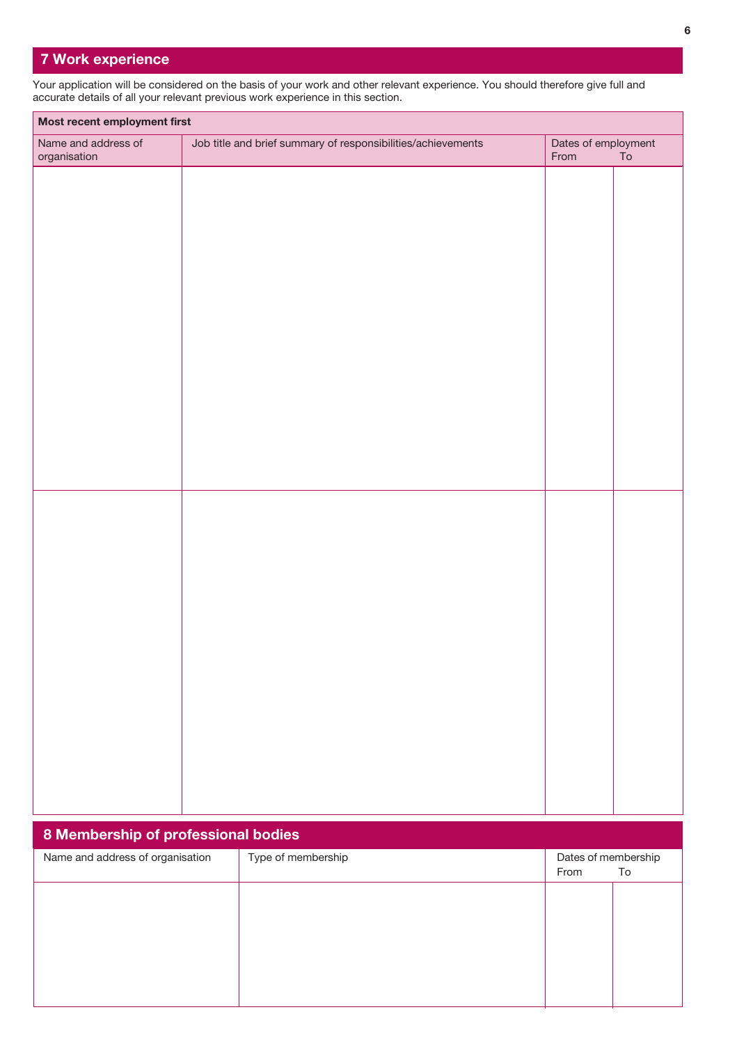## 7 Work experience

'n

Your application will be considered on the basis of your work and other relevant experience. You should therefore give full and accurate details of all your relevant previous work experience in this section.

| Most recent employment first        |                                                              |                             |    |  |  |  |  |
|-------------------------------------|--------------------------------------------------------------|-----------------------------|----|--|--|--|--|
| Name and address of<br>organisation | Job title and brief summary of responsibilities/achievements | Dates of employment<br>From | To |  |  |  |  |
|                                     |                                                              |                             |    |  |  |  |  |
|                                     |                                                              |                             |    |  |  |  |  |
|                                     |                                                              |                             |    |  |  |  |  |
|                                     |                                                              |                             |    |  |  |  |  |
|                                     |                                                              |                             |    |  |  |  |  |
|                                     |                                                              |                             |    |  |  |  |  |
|                                     |                                                              |                             |    |  |  |  |  |
|                                     |                                                              |                             |    |  |  |  |  |
|                                     |                                                              |                             |    |  |  |  |  |
|                                     |                                                              |                             |    |  |  |  |  |
|                                     |                                                              |                             |    |  |  |  |  |
|                                     |                                                              |                             |    |  |  |  |  |
|                                     |                                                              |                             |    |  |  |  |  |
|                                     |                                                              |                             |    |  |  |  |  |
|                                     |                                                              |                             |    |  |  |  |  |
|                                     |                                                              |                             |    |  |  |  |  |
|                                     |                                                              |                             |    |  |  |  |  |
|                                     |                                                              |                             |    |  |  |  |  |
|                                     |                                                              |                             |    |  |  |  |  |
|                                     |                                                              |                             |    |  |  |  |  |
|                                     |                                                              |                             |    |  |  |  |  |
|                                     |                                                              |                             |    |  |  |  |  |

| 8 Membership of professional bodies |                    |                                   |  |  |  |  |  |
|-------------------------------------|--------------------|-----------------------------------|--|--|--|--|--|
| Name and address of organisation    | Type of membership | Dates of membership<br>From<br>To |  |  |  |  |  |
|                                     |                    |                                   |  |  |  |  |  |
|                                     |                    |                                   |  |  |  |  |  |
|                                     |                    |                                   |  |  |  |  |  |
|                                     |                    |                                   |  |  |  |  |  |
|                                     |                    |                                   |  |  |  |  |  |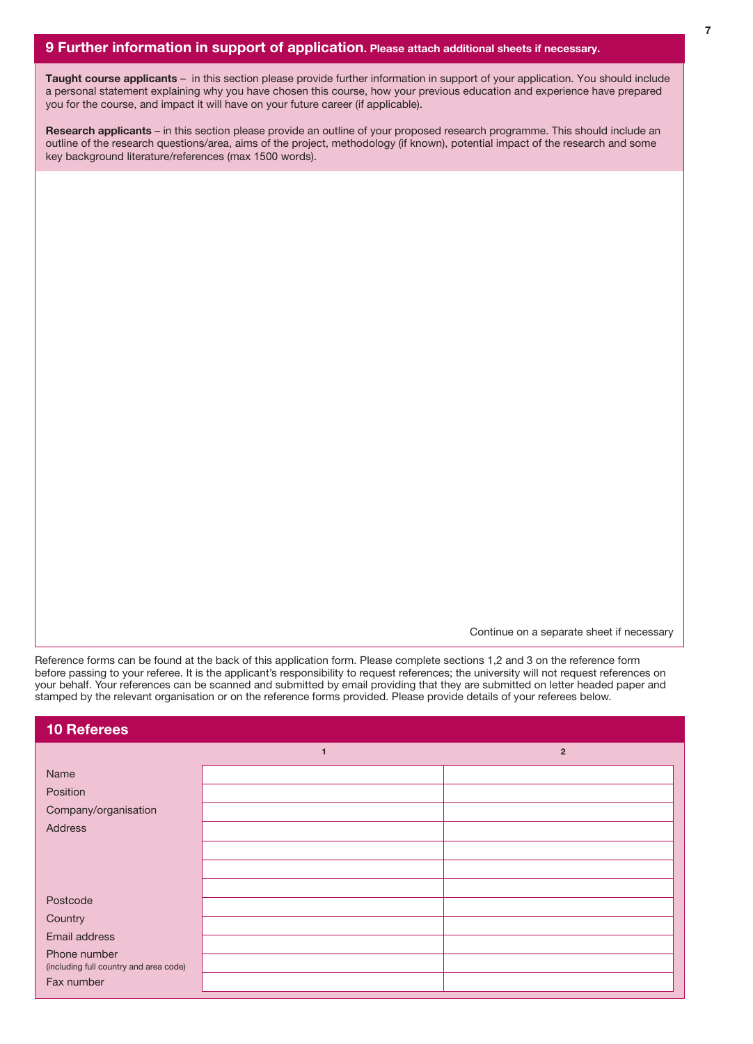Taught course applicants - in this section please provide further information in support of your application. You should include a personal statement explaining why you have chosen this course, how your previous education and experience have prepared you for the course, and impact it will have on your future career (if applicable).

Research applicants – in this section please provide an outline of your proposed research programme. This should include an outline of the research questions/area, aims of the project, methodology (if known), potential impact of the research and some key background literature/references (max 1500 words).

Continue on a separate sheet if necessary

Reference forms can be found at the back of this application form. Please complete sections 1,2 and 3 on the reference form before passing to your referee. It is the applicant's responsibility to request references; the university will not request references on your behalf. Your references can be scanned and submitted by email providing that they are submitted on letter headed paper and stamped by the relevant organisation or on the reference forms provided. Please provide details of your referees below.

| <b>10 Referees</b>                                     |                |                |
|--------------------------------------------------------|----------------|----------------|
|                                                        | $\overline{1}$ | $\overline{2}$ |
| Name                                                   |                |                |
| Position                                               |                |                |
| Company/organisation                                   |                |                |
| Address                                                |                |                |
|                                                        |                |                |
|                                                        |                |                |
|                                                        |                |                |
| Postcode                                               |                |                |
| Country                                                |                |                |
| Email address                                          |                |                |
| Phone number<br>(including full country and area code) |                |                |
| Fax number                                             |                |                |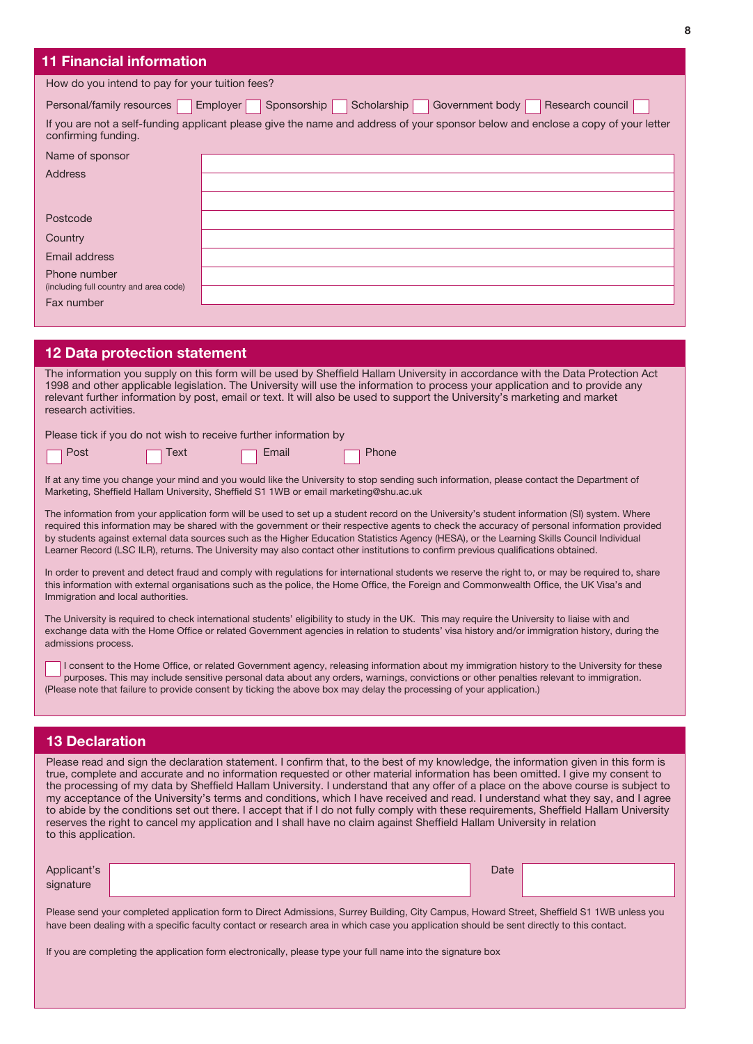## 11 Financial information

| How do you intend to pay for your tuition fees?      |                                                                                                                                  |  |  |  |  |  |  |
|------------------------------------------------------|----------------------------------------------------------------------------------------------------------------------------------|--|--|--|--|--|--|
| Personal/family resources                            | Sponsorship<br>Scholarship<br>Government body<br>Research council<br>Employer                                                    |  |  |  |  |  |  |
| confirming funding.                                  | If you are not a self-funding applicant please give the name and address of your sponsor below and enclose a copy of your letter |  |  |  |  |  |  |
| Name of sponsor                                      |                                                                                                                                  |  |  |  |  |  |  |
| <b>Address</b>                                       |                                                                                                                                  |  |  |  |  |  |  |
|                                                      |                                                                                                                                  |  |  |  |  |  |  |
| Postcode                                             |                                                                                                                                  |  |  |  |  |  |  |
| Country                                              |                                                                                                                                  |  |  |  |  |  |  |
| Email address                                        |                                                                                                                                  |  |  |  |  |  |  |
| Phone number                                         |                                                                                                                                  |  |  |  |  |  |  |
| (including full country and area code)<br>Fax number |                                                                                                                                  |  |  |  |  |  |  |

### 12 Data protection statement

The information you supply on this form will be used by Sheffield Hallam University in accordance with the Data Protection Act 1998 and other applicable legislation. The University will use the information to process your application and to provide any relevant further information by post, email or text. It will also be used to support the University's marketing and market research activities.

Please tick if you do not wish to receive further information by

|  | $\Box$ Post |  | <b>Text</b> |  | $\Box$ Email |  | $\Box$ Phone |
|--|-------------|--|-------------|--|--------------|--|--------------|
|--|-------------|--|-------------|--|--------------|--|--------------|

If at any time you change your mind and you would like the University to stop sending such information, please contact the Department of Marketing, Sheffield Hallam University, Sheffield S1 1WB or email marketing@shu.ac.uk

The information from your application form will be used to set up a student record on the University's student information (SI) system. Where required this information may be shared with the government or their respective agents to check the accuracy of personal information provided by students against external data sources such as the Higher Education Statistics Agency (HESA), or the Learning Skills Council Individual Learner Record (LSC ILR), returns. The University may also contact other institutions to confirm previous qualifications obtained.

In order to prevent and detect fraud and comply with regulations for international students we reserve the right to, or may be required to, share this information with external organisations such as the police, the Home Office, the Foreign and Commonwealth Office, the UK Visa's and Immigration and local authorities.

The University is required to check international students' eligibility to study in the UK. This may require the University to liaise with and exchange data with the Home Office or related Government agencies in relation to students' visa history and/or immigration history, during the admissions process.

I consent to the Home Office, or related Government agency, releasing information about my immigration history to the University for these purposes. This may include sensitive personal data about any orders, warnings, convictions or other penalties relevant to immigration. (Please note that failure to provide consent by ticking the above box may delay the processing of your application.)

### 13 Declaration

Please read and sign the declaration statement. I confirm that, to the best of my knowledge, the information given in this form is true, complete and accurate and no information requested or other material information has been omitted. I give my consent to the processing of my data by Sheffield Hallam University. I understand that any offer of a place on the above course is subject to my acceptance of the University's terms and conditions, which I have received and read. I understand what they say, and I agree to abide by the conditions set out there. I accept that if I do not fully comply with these requirements, Sheffield Hallam University reserves the right to cancel my application and I shall have no claim against Sheffield Hallam University in relation to this application.

| Applicant's | Date |  |
|-------------|------|--|
| signature   |      |  |
|             |      |  |

Please send your completed application form to Direct Admissions, Surrey Building, City Campus, Howard Street, Sheffield S1 1WB unless you have been dealing with a specific faculty contact or research area in which case you application should be sent directly to this contact.

If you are completing the application form electronically, please type your full name into the signature box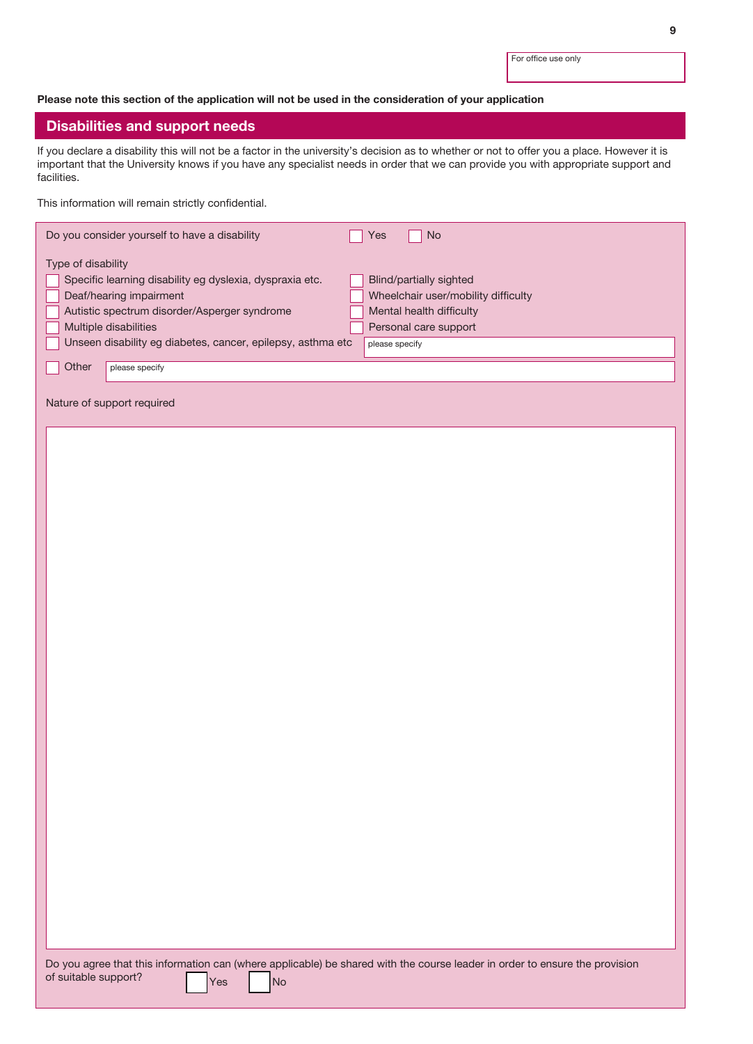For office use only

### Please note this section of the application will not be used in the consideration of your application

## Disabilities and support needs

If you declare a disability this will not be a factor in the university's decision as to whether or not to offer you a place. However it is important that the University knows if you have any specialist needs in order that we can provide you with appropriate support and facilities.

This information will remain strictly confidential.

| Do you consider yourself to have a disability               | No.<br>Yes                          |  |  |
|-------------------------------------------------------------|-------------------------------------|--|--|
| Type of disability                                          |                                     |  |  |
| Specific learning disability eg dyslexia, dyspraxia etc.    | <b>Blind/partially sighted</b>      |  |  |
| Deaf/hearing impairment                                     | Wheelchair user/mobility difficulty |  |  |
| Autistic spectrum disorder/Asperger syndrome                | Mental health difficulty            |  |  |
| Multiple disabilities                                       | Personal care support               |  |  |
| Unseen disability eg diabetes, cancer, epilepsy, asthma etc | please specify                      |  |  |
| Other<br>please specify                                     |                                     |  |  |
| Nature of support required                                  |                                     |  |  |
|                                                             |                                     |  |  |
|                                                             |                                     |  |  |
|                                                             |                                     |  |  |
|                                                             |                                     |  |  |
|                                                             |                                     |  |  |

Do you agree that this information can (where applicable) be shared with the course leader in order to ensure the provision of suitable support?  $\bigcap_{\text{Yes}}$  No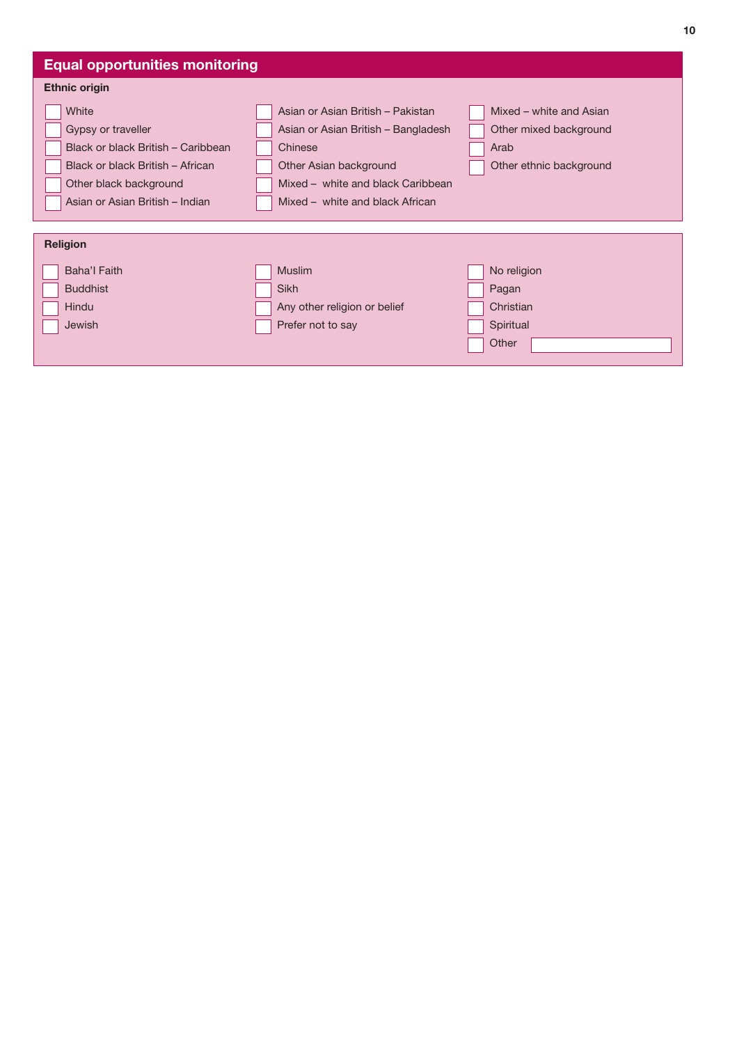| <b>Equal opportunities monitoring</b>                                                                                           |                                                                                                                                                    |                                                                                      |  |  |
|---------------------------------------------------------------------------------------------------------------------------------|----------------------------------------------------------------------------------------------------------------------------------------------------|--------------------------------------------------------------------------------------|--|--|
| <b>Ethnic origin</b>                                                                                                            |                                                                                                                                                    |                                                                                      |  |  |
| White<br>Gypsy or traveller<br>Black or black British – Caribbean<br>Black or black British - African<br>Other black background | Asian or Asian British - Pakistan<br>Asian or Asian British - Bangladesh<br>Chinese<br>Other Asian background<br>Mixed - white and black Caribbean | Mixed – white and Asian<br>Other mixed background<br>Arab<br>Other ethnic background |  |  |
| Asian or Asian British - Indian                                                                                                 | Mixed - white and black African                                                                                                                    |                                                                                      |  |  |
| <b>Religion</b>                                                                                                                 |                                                                                                                                                    |                                                                                      |  |  |
| Baha'l Faith                                                                                                                    | <b>Muslim</b>                                                                                                                                      | No religion                                                                          |  |  |
| <b>Buddhist</b>                                                                                                                 | <b>Sikh</b>                                                                                                                                        | Pagan                                                                                |  |  |
| <b>Hindu</b>                                                                                                                    | Any other religion or belief                                                                                                                       | Christian                                                                            |  |  |
| <b>Jewish</b>                                                                                                                   | Prefer not to say                                                                                                                                  | Spiritual                                                                            |  |  |
|                                                                                                                                 |                                                                                                                                                    | Other                                                                                |  |  |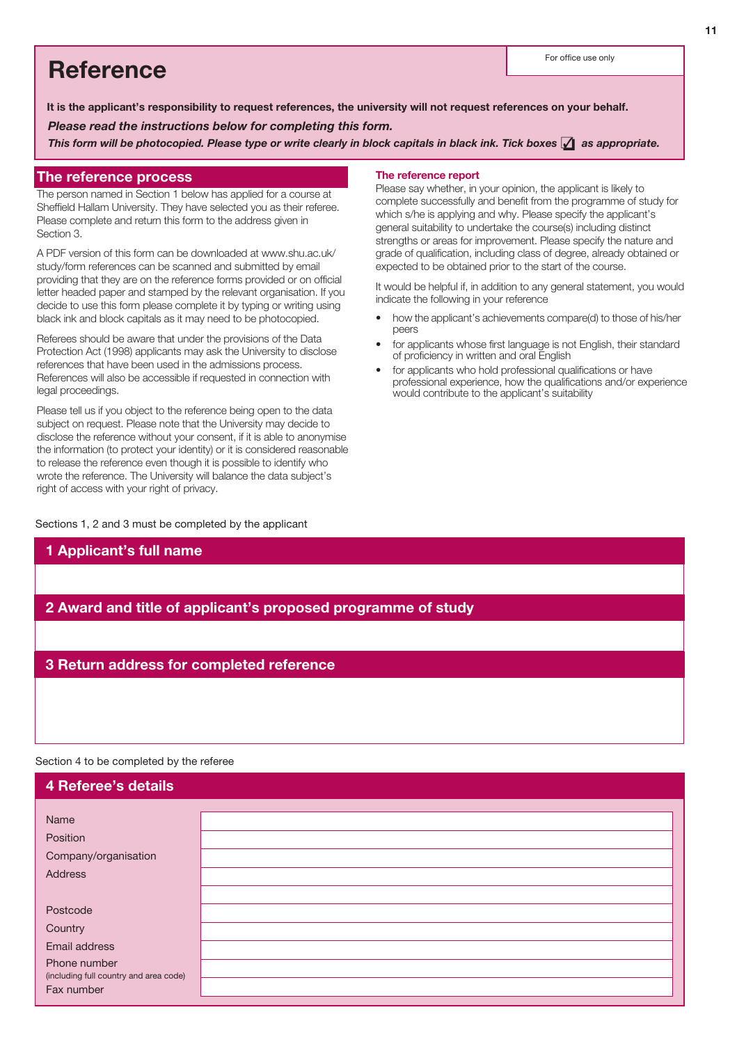# Reference For office use only

*Please read the instructions below for completing this form.* It is the applicant's responsibility to request references, the university will not request references on your behalf.

*This form will be photocopied. Please type or write clearly in block capitals in black ink. Tick boxes* ❏✓ *as appropriate.*

## The reference process

The person named in Section 1 below has applied for a course at Sheffield Hallam University. They have selected you as their referee. Please complete and return this form to the address given in Section 3.

A PDF version of this form can be downloaded at www.shu.ac.uk/ study/form references can be scanned and submitted by email providing that they are on the reference forms provided or on official letter headed paper and stamped by the relevant organisation. If you decide to use this form please complete it by typing or writing using black ink and block capitals as it may need to be photocopied.

Referees should be aware that under the provisions of the Data Protection Act (1998) applicants may ask the University to disclose references that have been used in the admissions process. References will also be accessible if requested in connection with legal proceedings.

Please tell us if you object to the reference being open to the data subject on request. Please note that the University may decide to disclose the reference without your consent, if it is able to anonymise the information (to protect your identity) or it is considered reasonable to release the reference even though it is possible to identify who wrote the reference. The University will balance the data subject's right of access with your right of privacy.

### Sections 1, 2 and 3 must be completed by the applicant

1 Applicant's full name

### The reference report

Please say whether, in your opinion, the applicant is likely to complete successfully and benefit from the programme of study for which s/he is applying and why. Please specify the applicant's general suitability to undertake the course(s) including distinct strengths or areas for improvement. Please specify the nature and grade of qualification, including class of degree, already obtained or expected to be obtained prior to the start of the course.

It would be helpful if, in addition to any general statement, you would indicate the following in your reference

- how the applicant's achievements compare(d) to those of his/her peers
- for applicants whose first language is not English, their standard of proficiency in written and oral English
- for applicants who hold professional qualifications or have professional experience, how the qualifications and/or experience would contribute to the applicant's suitability

## 2 Award and title of applicant's proposed programme of study

## 3 Return address for completed reference

Section 4 to be completed by the referee

| <b>4 Referee's details</b>                           |  |
|------------------------------------------------------|--|
|                                                      |  |
| Name                                                 |  |
| Position                                             |  |
| Company/organisation                                 |  |
| <b>Address</b>                                       |  |
|                                                      |  |
| Postcode                                             |  |
| Country                                              |  |
| Email address                                        |  |
| Phone number                                         |  |
| (including full country and area code)<br>Fax number |  |
|                                                      |  |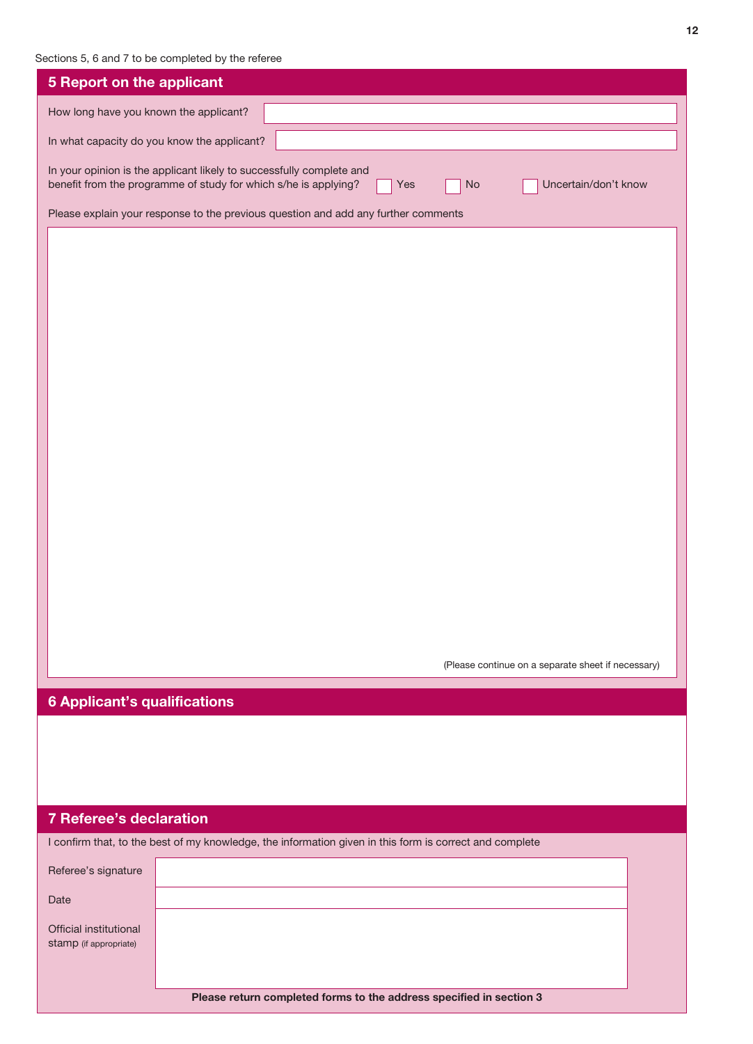## Sections 5, 6 and 7 to be completed by the referee

| <b>5 Report on the applicant</b>                                                                                                                                             |                                             |                                                                                                         |  |                                                    |  |
|------------------------------------------------------------------------------------------------------------------------------------------------------------------------------|---------------------------------------------|---------------------------------------------------------------------------------------------------------|--|----------------------------------------------------|--|
| How long have you known the applicant?                                                                                                                                       |                                             |                                                                                                         |  |                                                    |  |
|                                                                                                                                                                              | In what capacity do you know the applicant? |                                                                                                         |  |                                                    |  |
| In your opinion is the applicant likely to successfully complete and<br>benefit from the programme of study for which s/he is applying?<br>Uncertain/don't know<br>Yes<br>No |                                             |                                                                                                         |  |                                                    |  |
|                                                                                                                                                                              |                                             | Please explain your response to the previous question and add any further comments                      |  |                                                    |  |
|                                                                                                                                                                              |                                             |                                                                                                         |  |                                                    |  |
|                                                                                                                                                                              |                                             |                                                                                                         |  |                                                    |  |
|                                                                                                                                                                              |                                             |                                                                                                         |  |                                                    |  |
|                                                                                                                                                                              |                                             |                                                                                                         |  |                                                    |  |
|                                                                                                                                                                              |                                             |                                                                                                         |  |                                                    |  |
|                                                                                                                                                                              |                                             |                                                                                                         |  |                                                    |  |
|                                                                                                                                                                              |                                             |                                                                                                         |  |                                                    |  |
|                                                                                                                                                                              |                                             |                                                                                                         |  |                                                    |  |
|                                                                                                                                                                              |                                             |                                                                                                         |  |                                                    |  |
|                                                                                                                                                                              |                                             |                                                                                                         |  |                                                    |  |
|                                                                                                                                                                              |                                             |                                                                                                         |  |                                                    |  |
|                                                                                                                                                                              |                                             |                                                                                                         |  |                                                    |  |
|                                                                                                                                                                              |                                             |                                                                                                         |  |                                                    |  |
|                                                                                                                                                                              |                                             |                                                                                                         |  |                                                    |  |
|                                                                                                                                                                              |                                             |                                                                                                         |  |                                                    |  |
|                                                                                                                                                                              |                                             |                                                                                                         |  | (Please continue on a separate sheet if necessary) |  |
| <b>6 Applicant's qualifications</b>                                                                                                                                          |                                             |                                                                                                         |  |                                                    |  |
|                                                                                                                                                                              |                                             |                                                                                                         |  |                                                    |  |
|                                                                                                                                                                              |                                             |                                                                                                         |  |                                                    |  |
|                                                                                                                                                                              |                                             |                                                                                                         |  |                                                    |  |
|                                                                                                                                                                              |                                             |                                                                                                         |  |                                                    |  |
| <b>7 Referee's declaration</b>                                                                                                                                               |                                             | I confirm that, to the best of my knowledge, the information given in this form is correct and complete |  |                                                    |  |
| Referee's signature                                                                                                                                                          |                                             |                                                                                                         |  |                                                    |  |
| Date                                                                                                                                                                         |                                             |                                                                                                         |  |                                                    |  |
| Official institutional                                                                                                                                                       |                                             |                                                                                                         |  |                                                    |  |
| stamp (if appropriate)                                                                                                                                                       |                                             |                                                                                                         |  |                                                    |  |
|                                                                                                                                                                              |                                             |                                                                                                         |  |                                                    |  |
|                                                                                                                                                                              |                                             | Please return completed forms to the address specified in section 3                                     |  |                                                    |  |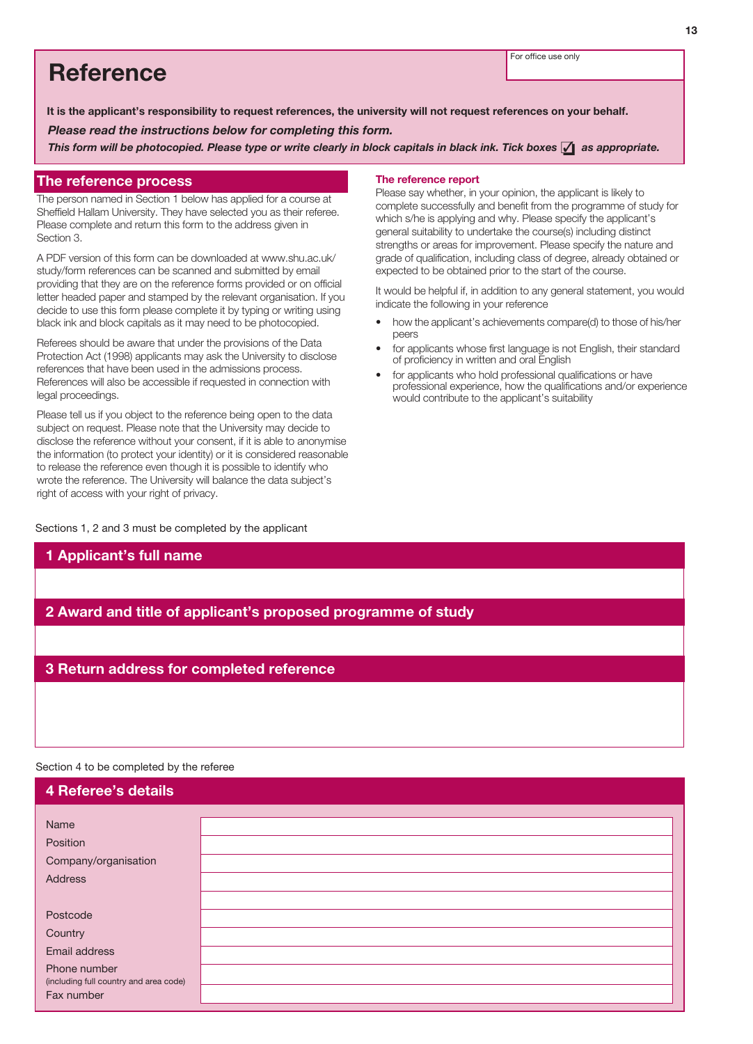For office use only

## Reference

It is the applicant's responsibility to request references, the university will not request references on your behalf.

*Please read the instructions below for completing this form.*

*This form will be photocopied. Please type or write clearly in block capitals in black ink. Tick boxes* ❏✓ *as appropriate.*

### The reference process

The person named in Section 1 below has applied for a course at Sheffield Hallam University. They have selected you as their referee. Please complete and return this form to the address given in Section 3.

A PDF version of this form can be downloaded at www.shu.ac.uk/ study/form references can be scanned and submitted by email providing that they are on the reference forms provided or on official letter headed paper and stamped by the relevant organisation. If you decide to use this form please complete it by typing or writing using black ink and block capitals as it may need to be photocopied.

Referees should be aware that under the provisions of the Data Protection Act (1998) applicants may ask the University to disclose references that have been used in the admissions process. References will also be accessible if requested in connection with legal proceedings.

Please tell us if you object to the reference being open to the data subject on request. Please note that the University may decide to disclose the reference without your consent, if it is able to anonymise the information (to protect your identity) or it is considered reasonable to release the reference even though it is possible to identify who wrote the reference. The University will balance the data subject's right of access with your right of privacy.

Sections 1, 2 and 3 must be completed by the applicant

1 Applicant's full name

### The reference report

Please say whether, in your opinion, the applicant is likely to complete successfully and benefit from the programme of study for which s/he is applying and why. Please specify the applicant's general suitability to undertake the course(s) including distinct strengths or areas for improvement. Please specify the nature and grade of qualification, including class of degree, already obtained or expected to be obtained prior to the start of the course.

It would be helpful if, in addition to any general statement, you would indicate the following in your reference

- how the applicant's achievements compare(d) to those of his/her peers
- for applicants whose first language is not English, their standard of proficiency in written and oral English
- for applicants who hold professional qualifications or have professional experience, how the qualifications and/or experience would contribute to the applicant's suitability

## 2 Award and title of applicant's proposed programme of study

## 3 Return address for completed reference

### Section 4 to be completed by the referee

| 4 Referee's details                    |  |
|----------------------------------------|--|
|                                        |  |
| Name                                   |  |
| Position                               |  |
| Company/organisation                   |  |
| <b>Address</b>                         |  |
|                                        |  |
| Postcode                               |  |
| Country                                |  |
| Email address                          |  |
| Phone number                           |  |
| (including full country and area code) |  |
| Fax number                             |  |